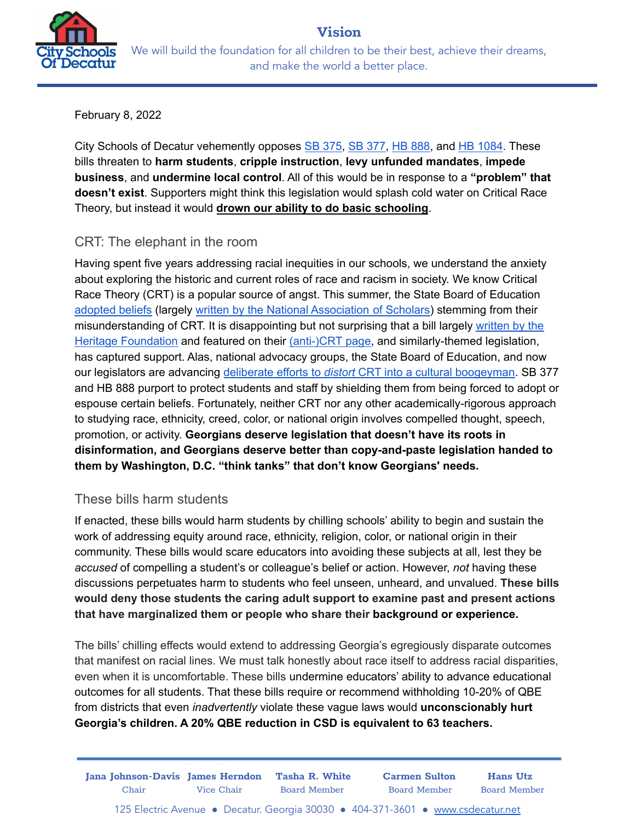February 8, 2022

City Schools of Decatur vehemently opposes SB [375,](https://www.legis.ga.gov/legislation/61344) SB [377](https://www.legis.ga.gov/legislation/61345), HB [888,](https://www.legis.ga.gov/legislation/61099) and HB [1084](https://www.legis.ga.gov/legislation/61477). These bills threaten to **harm students**, **cripple instruction**, **levy unfunded mandates**, **impede business**, and **undermine local control**. All of this would be in response to a **"problem" that doesn't exist**. Supporters might think this legislation would splash cold water on Critical Race Theory, but instead it would **drown our ability to do basic schooling**.

### CRT: The elephant in the room

Having spent five years addressing racial inequities in our schools, we understand the anxiety about exploring the historic and current roles of race and racism in society. We know Critical Race Theory (CRT) is a popular source of angst. This summer, the State Board of Education [adopted](https://simbli.eboardsolutions.com/Meetings/Attachment.aspx?S=1262&AID=1280886&MID=90839) beliefs (largely written by the National [Association](https://www.nas.org/blogs/article/the-partisanship-out-of-civics-act) of Scholars) stemming from their misunderstanding of CRT. It is disappointing but not surprising that a bill largely [written](https://www.heritage.org/article/protecting-k-12-students-discrimination) by the Heritage [Foundation](https://www.heritage.org/article/protecting-k-12-students-discrimination) and featured on their [\(anti-\)CRT](https://www.heritage.org/crt) page, and similarly-themed legislation, has captured support. Alas, national advocacy groups, the State Board of Education, and now our legislators are advancing deliberate efforts to *distort* CRT into a cultural [boogeyman.](https://www.cnn.com/2021/07/08/politics/critical-race-theory-panic-race-deconstructed-newsletter/index.html) SB 377 and HB 888 purport to protect students and staff by shielding them from being forced to adopt or espouse certain beliefs. Fortunately, neither CRT nor any other academically-rigorous approach to studying race, ethnicity, creed, color, or national origin involves compelled thought, speech, promotion, or activity. **Georgians deserve legislation that doesn't have its roots in disinformation, and Georgians deserve better than copy-and-paste legislation handed to them by Washington, D.C. "think tanks" that don't know Georgians' needs.**

#### These bills harm students

If enacted, these bills would harm students by chilling schools' ability to begin and sustain the work of addressing equity around race, ethnicity, religion, color, or national origin in their community. These bills would scare educators into avoiding these subjects at all, lest they be *accused* of compelling a student's or colleague's belief or action. However, *not* having these discussions perpetuates harm to students who feel unseen, unheard, and unvalued. **These bills would deny those students the caring adult support to examine past and present actions that have marginalized them or people who share their background or experience.**

The bills' chilling effects would extend to addressing Georgia's egregiously disparate outcomes that manifest on racial lines. We must talk honestly about race itself to address racial disparities, even when it is uncomfortable. These bills undermine educators' ability to advance educational outcomes for all students. That these bills require or recommend withholding 10-20% of QBE from districts that even *inadvertently* violate these vague laws would **unconscionably hurt Georgia's children. A 20% QBE reduction in CSD is equivalent to 63 teachers.**

**Jana Johnson-Davis James Herndon Tasha R. White Carmen Sulton Hans Utz** Chair Vice Chair Board Member Board Member Board Member 125 Electric Avenue · Decatur. Georgia 30030 · 404-371-3601 · [www.csdecatur.net](http://www.csdecatur.net)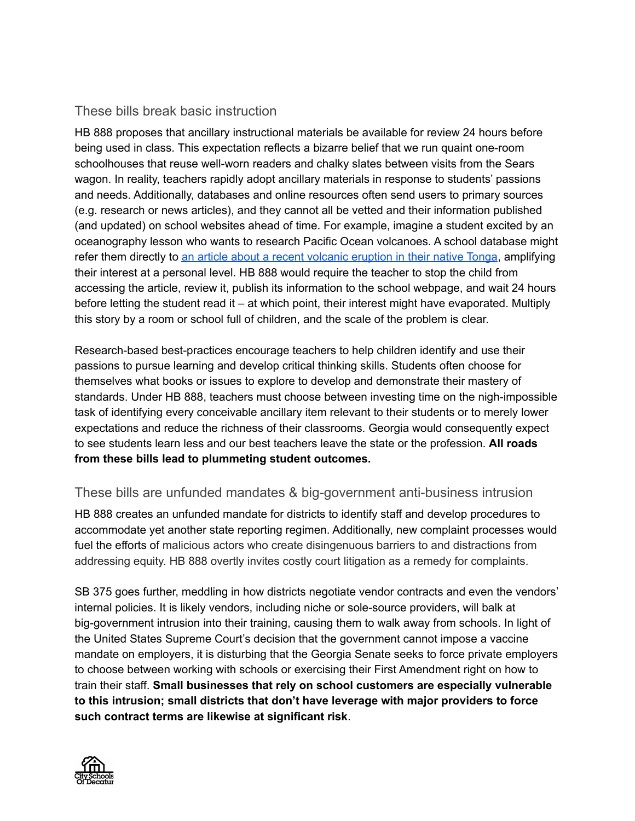# These bills break basic instruction

HB 888 proposes that ancillary instructional materials be available for review 24 hours before being used in class. This expectation reflects a bizarre belief that we run quaint one-room schoolhouses that reuse well-worn readers and chalky slates between visits from the Sears wagon. In reality, teachers rapidly adopt ancillary materials in response to students' passions and needs. Additionally, databases and online resources often send users to primary sources (e.g. research or news articles), and they cannot all be vetted and their information published (and updated) on school websites ahead of time. For example, imagine a student excited by an oceanography lesson who wants to research Pacific Ocean volcanoes. A school database might refer them directly to an article about a recent volcanic [eruption](https://volcano.si.edu/reports_weekly.cfm#vn_243040) in their native Tonga, amplifying their interest at a personal level. HB 888 would require the teacher to stop the child from accessing the article, review it, publish its information to the school webpage, and wait 24 hours before letting the student read it – at which point, their interest might have evaporated. Multiply this story by a room or school full of children, and the scale of the problem is clear.

Research-based best-practices encourage teachers to help children identify and use their passions to pursue learning and develop critical thinking skills. Students often choose for themselves what books or issues to explore to develop and demonstrate their mastery of standards. Under HB 888, teachers must choose between investing time on the nigh-impossible task of identifying every conceivable ancillary item relevant to their students or to merely lower expectations and reduce the richness of their classrooms. Georgia would consequently expect to see students learn less and our best teachers leave the state or the profession. **All roads from these bills lead to plummeting student outcomes.**

## These bills are unfunded mandates & big-government anti-business intrusion

HB 888 creates an unfunded mandate for districts to identify staff and develop procedures to accommodate yet another state reporting regimen. Additionally, new complaint processes would fuel the efforts of malicious actors who create disingenuous barriers to and distractions from addressing equity. HB 888 overtly invites costly court litigation as a remedy for complaints.

SB 375 goes further, meddling in how districts negotiate vendor contracts and even the vendors' internal policies. It is likely vendors, including niche or sole-source providers, will balk at big-government intrusion into their training, causing them to walk away from schools. In light of the United States Supreme Court's decision that the government cannot impose a vaccine mandate on employers, it is disturbing that the Georgia Senate seeks to force private employers to choose between working with schools or exercising their First Amendment right on how to train their staff. **Small businesses that rely on school customers are especially vulnerable to this intrusion; small districts that don't have leverage with major providers to force such contract terms are likewise at significant risk**.

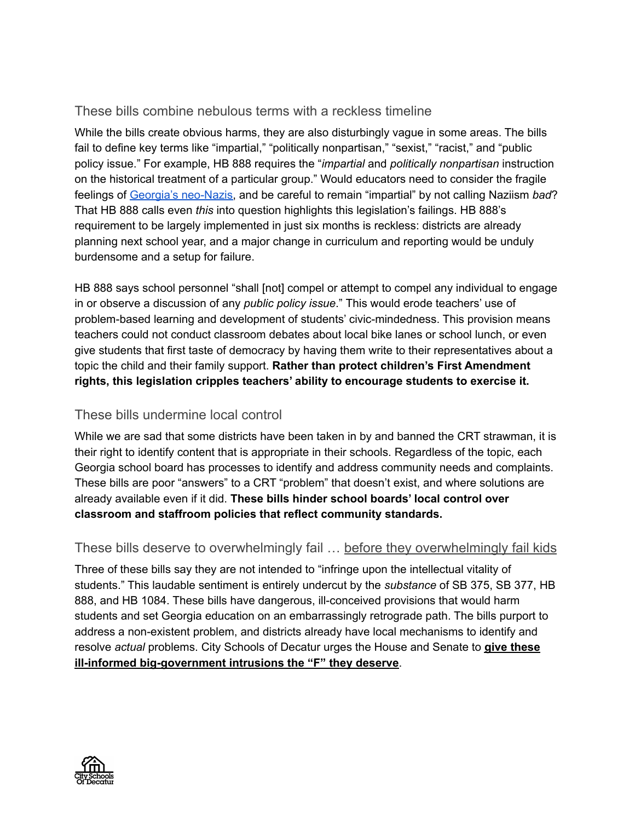# These bills combine nebulous terms with a reckless timeline

While the bills create obvious harms, they are also disturbingly vague in some areas. The bills fail to define key terms like "impartial," "politically nonpartisan," "sexist," "racist," and "public policy issue." For example, HB 888 requires the "*impartial* and *politically nonpartisan* instruction on the historical treatment of a particular group." Would educators need to consider the fragile feelings of Georgia's [neo-Nazis,](https://www.whsv.com/content/news/3-more-linked-to-neo-Nazi-group-arrested-in-Georgia-567083881.html) and be careful to remain "impartial" by not calling Naziism *bad*? That HB 888 calls even *this* into question highlights this legislation's failings. HB 888's requirement to be largely implemented in just six months is reckless: districts are already planning next school year, and a major change in curriculum and reporting would be unduly burdensome and a setup for failure.

HB 888 says school personnel "shall [not] compel or attempt to compel any individual to engage in or observe a discussion of any *public policy issue*." This would erode teachers' use of problem-based learning and development of students' civic-mindedness. This provision means teachers could not conduct classroom debates about local bike lanes or school lunch, or even give students that first taste of democracy by having them write to their representatives about a topic the child and their family support. **Rather than protect children's First Amendment rights, this legislation cripples teachers' ability to encourage students to exercise it.**

## These bills undermine local control

While we are sad that some districts have been taken in by and banned the CRT strawman, it is their right to identify content that is appropriate in their schools. Regardless of the topic, each Georgia school board has processes to identify and address community needs and complaints. These bills are poor "answers" to a CRT "problem" that doesn't exist, and where solutions are already available even if it did. **These bills hinder school boards' local control over classroom and staffroom policies that reflect community standards.**

## These bills deserve to overwhelmingly fail … before they overwhelmingly fail kids

Three of these bills say they are not intended to "infringe upon the intellectual vitality of students." This laudable sentiment is entirely undercut by the *substance* of SB 375, SB 377, HB 888, and HB 1084. These bills have dangerous, ill-conceived provisions that would harm students and set Georgia education on an embarrassingly retrograde path. The bills purport to address a non-existent problem, and districts already have local mechanisms to identify and resolve *actual* problems. City Schools of Decatur urges the House and Senate to **give these ill-informed big-government intrusions the "F" they deserve**.